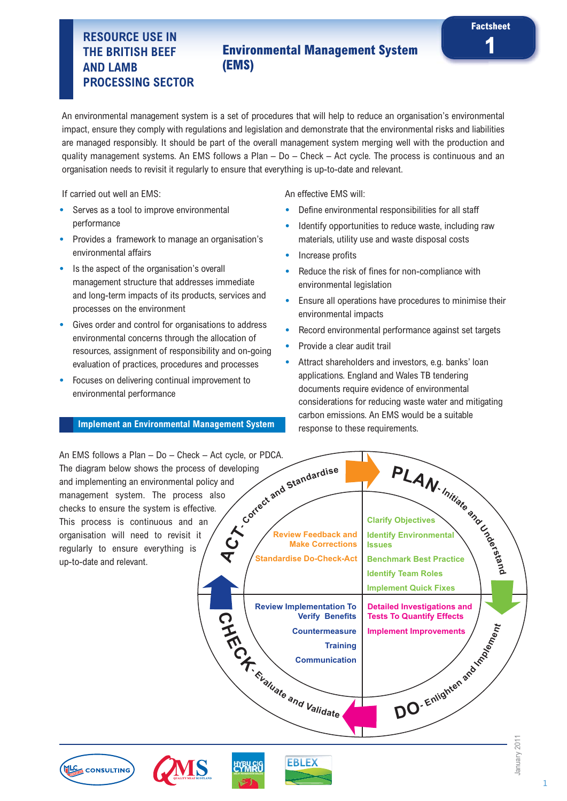# **1 RESOURCE USE IN Environmental Management System (EMS)**

An environmental management system is a set of procedures that will help to reduce an organisation's environmental impact, ensure they comply with regulations and legislation and demonstrate that the environmental risks and liabilities are managed responsibly. It should be part of the overall management system merging well with the production and quality management systems. An EMS follows a Plan – Do – Check – Act cycle. The process is continuous and an organisation needs to revisit it regularly to ensure that everything is up-to-date and relevant.

If carried out well an EMS:

- **•** Serves as a tool to improve environmental performance
- **•** Provides a framework to manage an organisation's environmental affairs
- **•** Is the aspect of the organisation's overall management structure that addresses immediate and long-term impacts of its products, services and processes on the environment
- **•** Gives order and control for organisations to address environmental concerns through the allocation of resources, assignment of responsibility and on-going evaluation of practices, procedures and processes
- **•** Focuses on delivering continual improvement to environmental performance

### **Implement an Environmental Management System**

An effective EMS will:

- **•** Define environmental responsibilities for all staff
- **•** Identify opportunities to reduce waste, including raw materials, utility use and waste disposal costs

**Factsheet**

- **•** Increase profits
- **•** Reduce the risk of fines for non-compliance with environmental legislation
- **•** Ensure all operations have procedures to minimise their environmental impacts
- **•** Record environmental performance against set targets
- **•** Provide a clear audit trail
- **•** Attract shareholders and investors, e.g. banks' loan applications. England and Wales TB tendering documents require evidence of environmental considerations for reducing waste water and mitigating carbon emissions. An EMS would be a suitable response to these requirements.

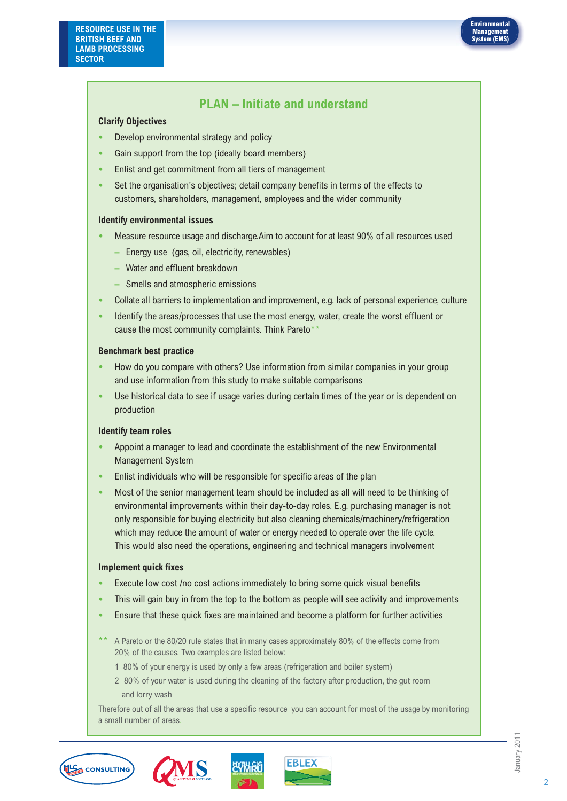

## **PLAN – Initiate and understand**

### **Clarify Objectives**

- **•** Develop environmental strategy and policy
- **•** Gain support from the top (ideally board members)
- **•** Enlist and get commitment from all tiers of management
- **•** Set the organisation's objectives; detail company benefits in terms of the effects to customers, shareholders, management, employees and the wider community

### **Identify environmental issues**

- **•** Measure resource usage and discharge.Aim to account for at least 90% of all resources used
	- **–** Energy use (gas, oil, electricity, renewables)
	- **–** Water and effluent breakdown
	- **–** Smells and atmospheric emissions
- **•** Collate all barriers to implementation and improvement, e.g. lack of personal experience, culture
- **•** Identify the areas/processes that use the most energy, water, create the worst effluent or cause the most community complaints. Think Pareto\*

### **Benchmark best practice**

- **•** How do you compare with others? Use information from similar companies in your group and use information from this study to make suitable comparisons
- **•** Use historical data to see if usage varies during certain times of the year or is dependent on production

### **Identify team roles**

- **•** Appoint a manager to lead and coordinate the establishment of the new Environmental Management System
- **•** Enlist individuals who will be responsible for specific areas of the plan
- **•** Most of the senior management team should be included as all will need to be thinking of environmental improvements within their day-to-day roles. E.g. purchasing manager is not only responsible for buying electricity but also cleaning chemicals/machinery/refrigeration which may reduce the amount of water or energy needed to operate over the life cycle. This would also need the operations, engineering and technical managers involvement

### **Implement quick fixes**

- **•** Execute low cost /no cost actions immediately to bring some quick visual benefits
- **•** This will gain buy in from the top to the bottom as people will see activity and improvements
- **•** Ensure that these quick fixes are maintained and become a platform for further activities
- A Pareto or the 80/20 rule states that in many cases approximately 80% of the effects come from 20% of the causes. Two examples are listed below:
	- 1 80% of your energy is used by only a few areas (refrigeration and boiler system)
	- 2 80% of your water is used during the cleaning of the factory after production, the gut room and lorry wash

Therefore out of all the areas that use a specific resource you can account for most of the usage by monitoring a small number of areas.





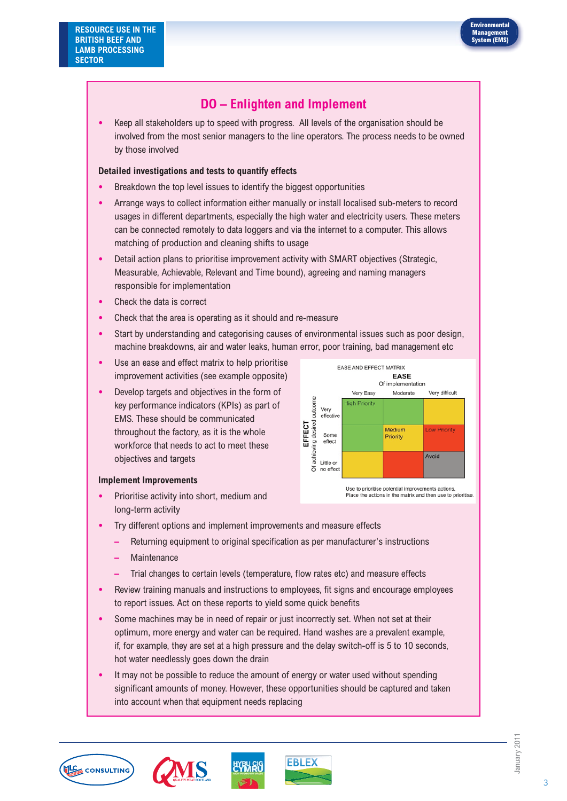

## **DO – Enlighten and Implement**

**•** Keep all stakeholders up to speed with progress. All levels of the organisation should be involved from the most senior managers to the line operators. The process needs to be owned by those involved

### **Detailed investigations and tests to quantify effects**

- **•** Breakdown the top level issues to identify the biggest opportunities
- **•** Arrange ways to collect information either manually or install localised sub-meters to record usages in different departments, especially the high water and electricity users. These meters can be connected remotely to data loggers and via the internet to a computer. This allows matching of production and cleaning shifts to usage
- **•** Detail action plans to prioritise improvement activity with SMART objectives (Strategic, Measurable, Achievable, Relevant and Time bound), agreeing and naming managers responsible for implementation
- **•** Check the data is correct
- **•** Check that the area is operating as it should and re-measure
- **•** Start by understanding and categorising causes of environmental issues such as poor design, machine breakdowns, air and water leaks, human error, poor training, bad management etc
- **•** Use an ease and effect matrix to help prioritise improvement activities (see example opposite)
- **•** Develop targets and objectives in the form of key performance indicators (KPIs) as part of EMS. These should be communicated throughout the factory, as it is the whole workforce that needs to act to meet these objectives and targets

#### **EASE AND EFFECT MATRIX EASE** Of implementation Very Easy Moderate Very difficult putcome **High Priority** Very effective desired EFFECT Medium Low Priority Some Priority effect ing Avoid For Little or δ no effect Use to prioritise potential improvements actions

Place the actions in the matrix and then use to prioritise.

### **Implement Improvements**

- **•** Prioritise activity into short, medium and long-term activity
- **•** Try different options and implement improvements and measure effects
	- **–** Returning equipment to original specification as per manufacturer's instructions
	- **–** Maintenance
	- **–** Trial changes to certain levels (temperature, flow rates etc) and measure effects
- **•** Review training manuals and instructions to employees, fit signs and encourage employees to report issues. Act on these reports to yield some quick benefits
- **•** Some machines may be in need of repair or just incorrectly set. When not set at their optimum, more energy and water can be required. Hand washes are a prevalent example, if, for example, they are set at a high pressure and the delay switch-off is 5 to 10 seconds, hot water needlessly goes down the drain
- **•** It may not be possible to reduce the amount of energy or water used without spending significant amounts of money. However, these opportunities should be captured and taken into account when that equipment needs replacing